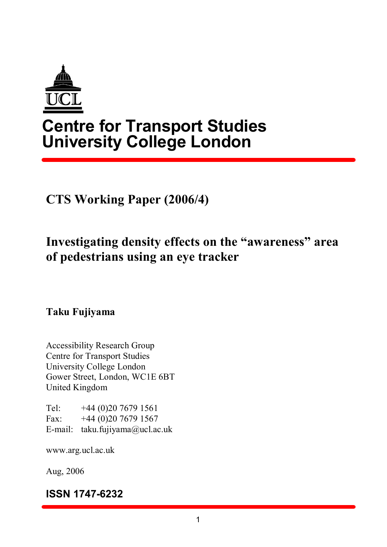

# **Centre for Transport Studies University College London**

**CTS Working Paper (2006/4)**

# **Investigating density effects on the "awareness" area of pedestrians using an eye tracker**

**Taku Fujiyama**

Accessibility Research Group Centre for Transport Studies University College London Gower Street, London, WC1E 6BT United Kingdom

Tel:  $+44(0)2076791561$ Fax:  $+44(0)2076791567$ Email: taku.fujiyama@ucl.ac.uk

www.arg.ucl.ac.uk

Aug, 2006

**ISSN 1747-6232**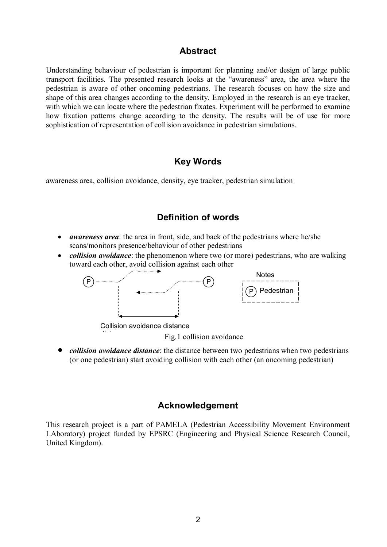#### **Abstract**

Understanding behaviour of pedestrian is important for planning and/or design of large public transport facilities. The presented research looks at the "awareness" area, the area where the pedestrian is aware of other oncoming pedestrians. The research focuses on how the size and shape of this area changes according to the density. Employed in the research is an eye tracker, with which we can locate where the pedestrian fixates. Experiment will be performed to examine how fixation patterns change according to the density. The results will be of use for more sophistication of representation of collision avoidance in pedestrian simulations.

#### **Key Words**

awareness area, collision avoidance, density, eye tracker, pedestrian simulation

## **Definition of words**

- · *awareness area*: the area in front, side, and back of the pedestrians where he/she scans/monitors presence/behaviour of other pedestrians
- *collision avoidance*: the phenomenon where two (or more) pedestrians, who are walking toward each other, avoid collision against each other



Collision avoidance distance distance

Fig.1 collision avoidance

· *collision avoidance distance*: the distance between two pedestrians when two pedestrians (or one pedestrian) start avoiding collision with each other (an oncoming pedestrian)

### **Acknowledgement**

This research project is a part of PAMELA (Pedestrian Accessibility Movement Environment LAboratory) project funded by EPSRC (Engineering and Physical Science Research Council, United Kingdom).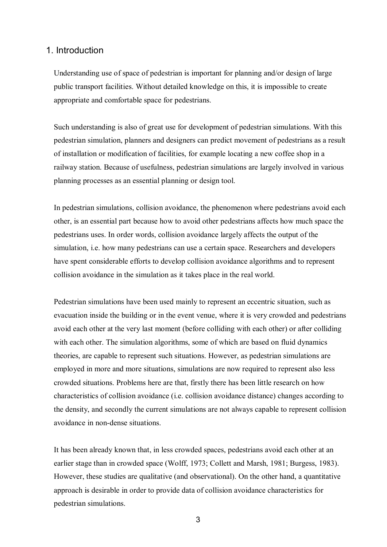#### 1. Introduction

Understanding use of space of pedestrian is important for planning and/or design of large public transport facilities. Without detailed knowledge on this, it is impossible to create appropriate and comfortable space for pedestrians.

Such understanding is also of great use for development of pedestrian simulations. With this pedestrian simulation, planners and designers can predict movement of pedestrians as a result of installation or modification of facilities, for example locating a new coffee shop in a railway station. Because of usefulness, pedestrian simulations are largely involved in various planning processes as an essential planning or design tool.

In pedestrian simulations, collision avoidance, the phenomenon where pedestrians avoid each other, is an essential part because how to avoid other pedestrians affects how much space the pedestrians uses. In order words, collision avoidance largely affects the output of the simulation, i.e. how many pedestrians can use a certain space. Researchers and developers have spent considerable efforts to develop collision avoidance algorithms and to represent collision avoidance in the simulation as it takes place in the real world.

Pedestrian simulations have been used mainly to represent an eccentric situation, such as evacuation inside the building or in the event venue, where it is very crowded and pedestrians avoid each other at the very last moment (before colliding with each other) or after colliding with each other. The simulation algorithms, some of which are based on fluid dynamics theories, are capable to represent such situations. However, as pedestrian simulations are employed in more and more situations, simulations are now required to represent also less crowded situations. Problems here are that, firstly there has been little research on how characteristics of collision avoidance (i.e. collision avoidance distance) changes according to the density, and secondly the current simulations are not always capable to represent collision avoidance in non-dense situations.

It has been already known that, in less crowded spaces, pedestrians avoid each other at an earlier stage than in crowded space (Wolff, 1973; Collett and Marsh, 1981; Burgess, 1983). However, these studies are qualitative (and observational). On the other hand, a quantitative approach is desirable in order to provide data of collision avoidance characteristics for pedestrian simulations.

3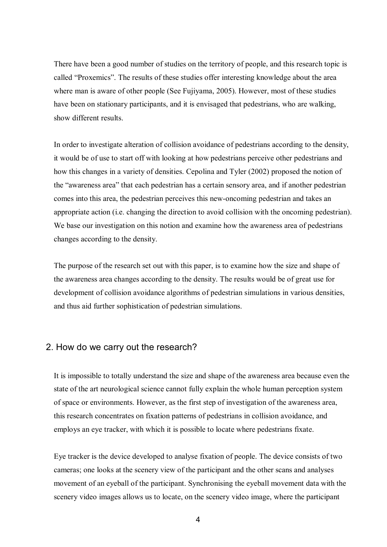There have been a good number of studies on the territory of people, and this research topic is called "Proxemics". The results of these studies offer interesting knowledge about the area where man is aware of other people (See Fujiyama, 2005). However, most of these studies have been on stationary participants, and it is envisaged that pedestrians, who are walking, show different results.

In order to investigate alteration of collision avoidance of pedestrians according to the density, it would be of use to start off with looking at how pedestrians perceive other pedestrians and how this changes in a variety of densities. Cepolina and Tyler (2002) proposed the notion of the "awareness area" that each pedestrian has a certain sensory area, and if another pedestrian comes into this area, the pedestrian perceives this new-oncoming pedestrian and takes an appropriate action (i.e. changing the direction to avoid collision with the oncoming pedestrian). We base our investigation on this notion and examine how the awareness area of pedestrians changes according to the density.

The purpose of the research set out with this paper, is to examine how the size and shape of the awareness area changes according to the density. The results would be of great use for development of collision avoidance algorithms of pedestrian simulations in various densities, and thus aid further sophistication of pedestrian simulations.

#### 2. How do we carry out the research?

It is impossible to totally understand the size and shape of the awareness area because even the state of the art neurological science cannot fully explain the whole human perception system of space or environments. However, as the first step of investigation of the awareness area, this research concentrates on fixation patterns of pedestrians in collision avoidance, and employs an eye tracker, with which it is possible to locate where pedestrians fixate.

Eye tracker is the device developed to analyse fixation of people. The device consists of two cameras; one looks at the scenery view of the participant and the other scans and analyses movement of an eyeball of the participant. Synchronising the eyeball movement data with the scenery video images allows us to locate, on the scenery video image, where the participant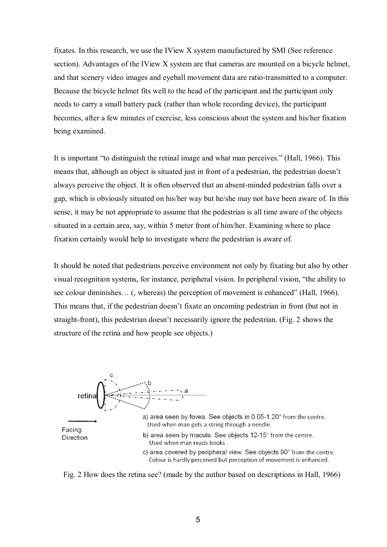fixates. In this research, we use the IView X system manufactured by SMI (See reference section). Advantages of the IView X system are that cameras are mounted on a bicycle helmet, and that scenery video images and eyeball movement data are ratio-transmitted to a computer. Because the bicycle helmet fits well to the head of the participant and the participant only needs to carry a small battery pack (rather than whole recording device), the participant becomes, after a few minutes of exercise, less conscious about the system and his/her fixation being examined.

It is important "to distinguish the retinal image and what man perceives." (Hall, 1966). This means that, although an object is situated just in front of a pedestrian, the pedestrian doesn't always perceive the object. It is often observed that an absent-minded pedestrian falls over a gap, which is obviously situated on his/her way but he/she may not have been aware of. In this sense, it may be not appropriate to assume that the pedestrian is all time aware of the objects situated in a certain area, say, within 5 meter front of him/her. Examining where to place fixation certainly would help to investigate where the pedestrian is aware of.

It should be noted that pedestrians perceive environment not only by fixating but also by other visual recognition systems, for instance, peripheral vision. In peripheral vision, "the ability to see colour diminishes… (, whereas) the perception of movement is enhanced" (Hall, 1966). This means that, if the pedestrian doesn't fixate an oncoming pedestrian in front (but not in straight-front), this pedestrian doesn't necessarily ignore the pedestrian. (Fig. 2 shows the structure of the retina and how people see objects.)



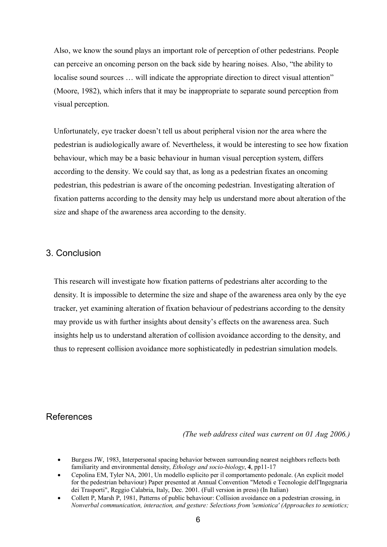Also, we know the sound plays an important role of perception of other pedestrians. People can perceive an oncoming person on the back side by hearing noises. Also, "the ability to localise sound sources ... will indicate the appropriate direction to direct visual attention" (Moore, 1982), which infers that it may be inappropriate to separate sound perception from visual perception.

Unfortunately, eye tracker doesn't tell us about peripheral vision nor the area where the pedestrian is audiologically aware of. Nevertheless, it would be interesting to see how fixation behaviour, which may be a basic behaviour in human visual perception system, differs according to the density. We could say that, as long as a pedestrian fixates an oncoming pedestrian, this pedestrian is aware of the oncoming pedestrian. Investigating alteration of fixation patterns according to the density may help us understand more about alteration of the size and shape of the awareness area according to the density.

#### 3. Conclusion

This research will investigate how fixation patterns of pedestrians alter according to the density. It is impossible to determine the size and shape of the awareness area only by the eye tracker, yet examining alteration of fixation behaviour of pedestrians according to the density may provide us with further insights about density's effects on the awareness area. Such insights help us to understand alteration of collision avoidance according to the density, and thus to represent collision avoidance more sophisticatedly in pedestrian simulation models.

### References

*(The web address cited was current on 01 Aug 2006.)*

- · Burgess JW, 1983, Interpersonal spacing behavior between surrounding nearest neighbors reflects both familiarity and environmental density, *Ethology and socio-biology*, **4**, pp11-17
- · Cepolina EM, Tyler NA, 2001, Un modello esplicito per il comportamento pedonale. (An explicit model for the pedestrian behaviour) Paper presented at Annual Convention "Metodi e Tecnologie dell'Ingegnaria dei Trasporti", Reggio Calabria, Italy, Dec. 2001. (Full version in press) (In Italian)
- · Collett P, Marsh P, 1981, Patterns of public behaviour: Collision avoidance on a pedestrian crossing, in *Nonverbal communication, interaction, and gesture: Selections from 'semiotica' (Approaches to semiotics;*